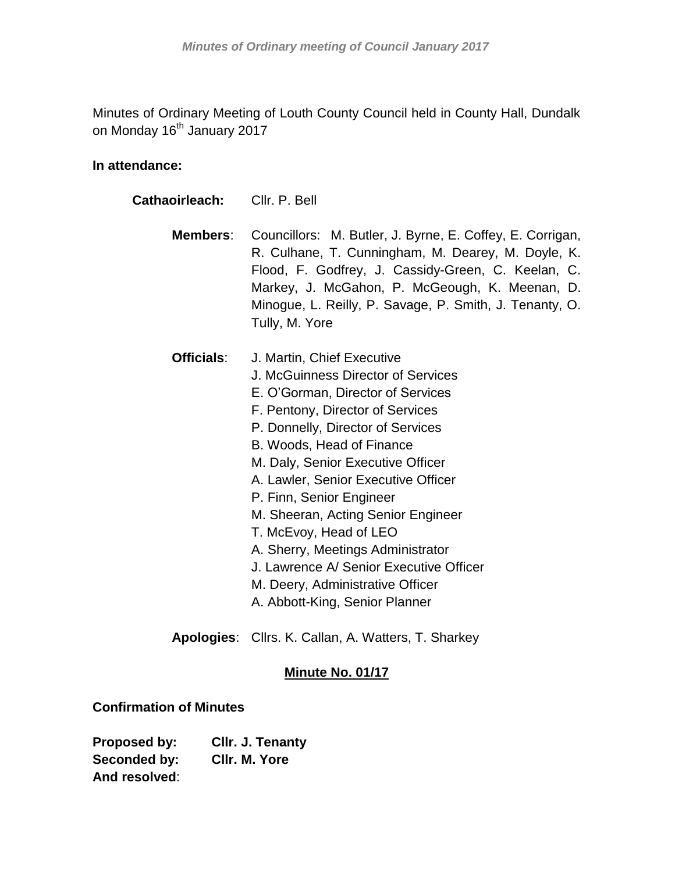Minutes of Ordinary Meeting of Louth County Council held in County Hall, Dundalk on Monday 16<sup>th</sup> January 2017

# **In attendance:**

| Cathaoirleach: | Cllr. P. Bell                                                                                                                                                                                                                                                                                                                                                                                                                                                                                                                             |  |  |
|----------------|-------------------------------------------------------------------------------------------------------------------------------------------------------------------------------------------------------------------------------------------------------------------------------------------------------------------------------------------------------------------------------------------------------------------------------------------------------------------------------------------------------------------------------------------|--|--|
| Members:       | Councillors: M. Butler, J. Byrne, E. Coffey, E. Corrigan,<br>R. Culhane, T. Cunningham, M. Dearey, M. Doyle, K.<br>Flood, F. Godfrey, J. Cassidy-Green, C. Keelan, C.<br>Markey, J. McGahon, P. McGeough, K. Meenan, D.<br>Minogue, L. Reilly, P. Savage, P. Smith, J. Tenanty, O.<br>Tully, M. Yore                                                                                                                                                                                                                                      |  |  |
| Officials:     | J. Martin, Chief Executive<br>J. McGuinness Director of Services<br>E. O'Gorman, Director of Services<br>F. Pentony, Director of Services<br>P. Donnelly, Director of Services<br>B. Woods, Head of Finance<br>M. Daly, Senior Executive Officer<br>A. Lawler, Senior Executive Officer<br>P. Finn, Senior Engineer<br>M. Sheeran, Acting Senior Engineer<br>T. McEvoy, Head of LEO<br>A. Sherry, Meetings Administrator<br>J. Lawrence A/ Senior Executive Officer<br>M. Deery, Administrative Officer<br>A. Abbott-King, Senior Planner |  |  |

**Apologies**: Cllrs. K. Callan, A. Watters, T. Sharkey

# **Minute No. 01/17**

# **Confirmation of Minutes**

**Proposed by: Cllr. J. Tenanty Seconded by: Cllr. M. Yore And resolved**: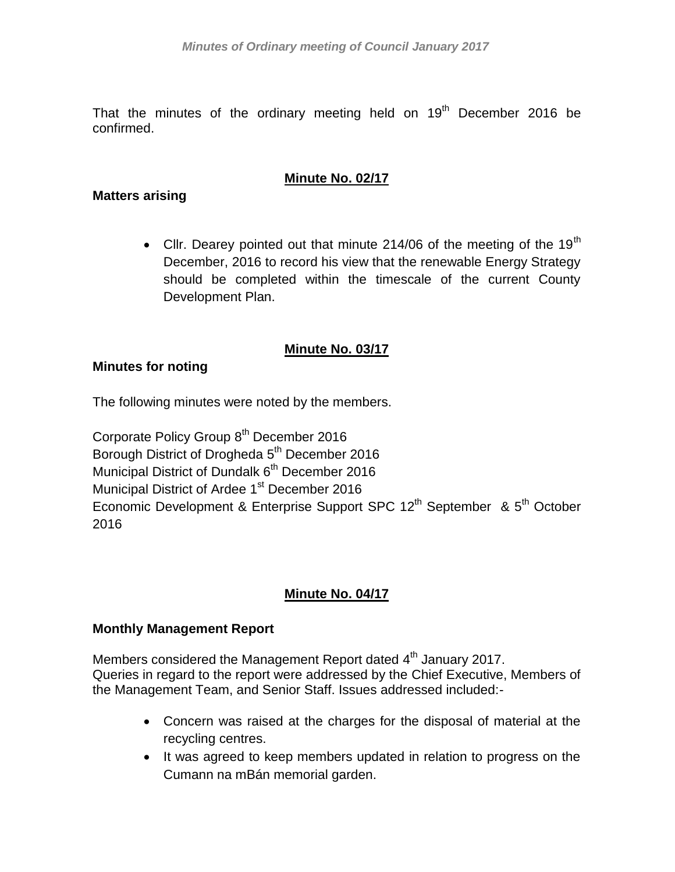That the minutes of the ordinary meeting held on  $19<sup>th</sup>$  December 2016 be confirmed.

# **Minute No. 02/17**

### **Matters arising**

• Cllr. Dearey pointed out that minute 214/06 of the meeting of the 19<sup>th</sup> December, 2016 to record his view that the renewable Energy Strategy should be completed within the timescale of the current County Development Plan.

## **Minute No. 03/17**

### **Minutes for noting**

The following minutes were noted by the members.

Corporate Policy Group 8<sup>th</sup> December 2016 Borough District of Drogheda 5<sup>th</sup> December 2016 Municipal District of Dundalk 6<sup>th</sup> December 2016 Municipal District of Ardee 1<sup>st</sup> December 2016 Economic Development & Enterprise Support SPC 12<sup>th</sup> September & 5<sup>th</sup> October 2016

# **Minute No. 04/17**

### **Monthly Management Report**

Members considered the Management Report dated 4<sup>th</sup> January 2017. Queries in regard to the report were addressed by the Chief Executive, Members of the Management Team, and Senior Staff. Issues addressed included:-

- Concern was raised at the charges for the disposal of material at the recycling centres.
- It was agreed to keep members updated in relation to progress on the Cumann na mBán memorial garden.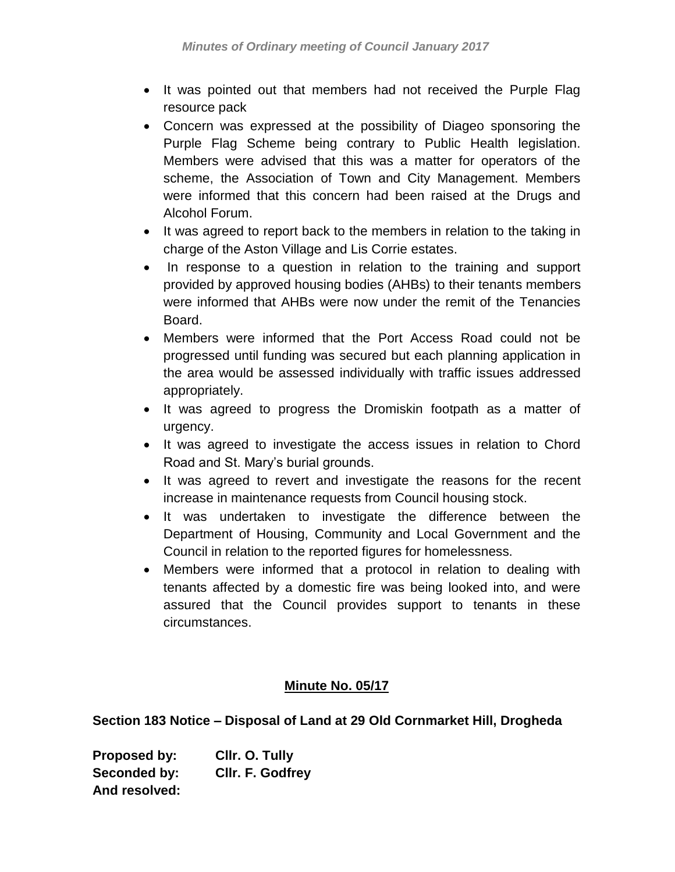- It was pointed out that members had not received the Purple Flag resource pack
- Concern was expressed at the possibility of Diageo sponsoring the Purple Flag Scheme being contrary to Public Health legislation. Members were advised that this was a matter for operators of the scheme, the Association of Town and City Management. Members were informed that this concern had been raised at the Drugs and Alcohol Forum.
- It was agreed to report back to the members in relation to the taking in charge of the Aston Village and Lis Corrie estates.
- In response to a question in relation to the training and support provided by approved housing bodies (AHBs) to their tenants members were informed that AHBs were now under the remit of the Tenancies Board.
- Members were informed that the Port Access Road could not be progressed until funding was secured but each planning application in the area would be assessed individually with traffic issues addressed appropriately.
- It was agreed to progress the Dromiskin footpath as a matter of urgency.
- It was agreed to investigate the access issues in relation to Chord Road and St. Mary's burial grounds.
- It was agreed to revert and investigate the reasons for the recent increase in maintenance requests from Council housing stock.
- It was undertaken to investigate the difference between the Department of Housing, Community and Local Government and the Council in relation to the reported figures for homelessness.
- Members were informed that a protocol in relation to dealing with tenants affected by a domestic fire was being looked into, and were assured that the Council provides support to tenants in these circumstances.

# **Minute No. 05/17**

**Section 183 Notice – Disposal of Land at 29 Old Cornmarket Hill, Drogheda**

**Proposed by: Cllr. O. Tully Seconded by: Cllr. F. Godfrey And resolved:**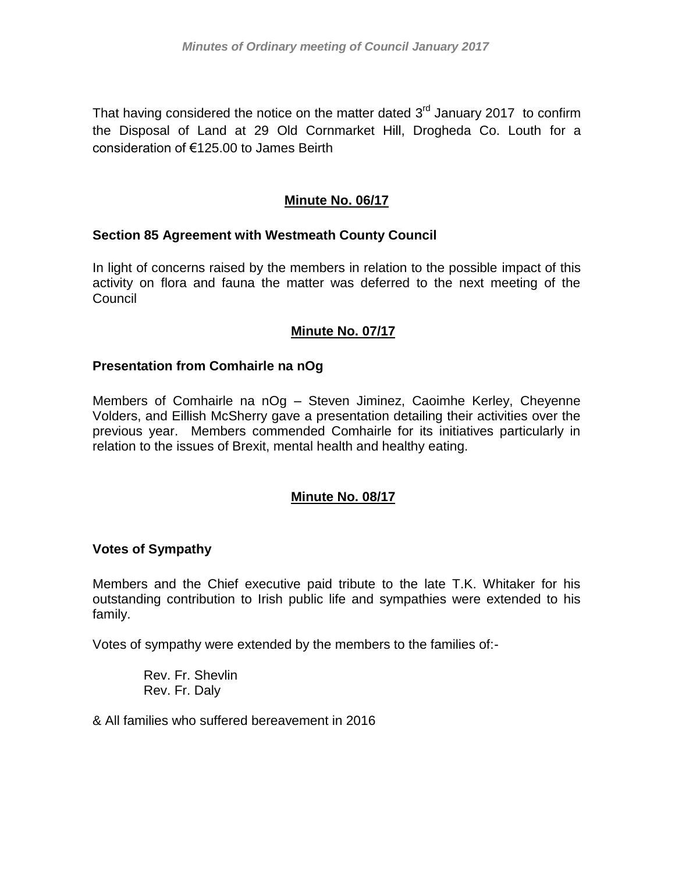That having considered the notice on the matter dated  $3<sup>rd</sup>$  January 2017 to confirm the Disposal of Land at 29 Old Cornmarket Hill, Drogheda Co. Louth for a consideration of €125.00 to James Beirth

# **Minute No. 06/17**

## **Section 85 Agreement with Westmeath County Council**

In light of concerns raised by the members in relation to the possible impact of this activity on flora and fauna the matter was deferred to the next meeting of the Council

## **Minute No. 07/17**

## **Presentation from Comhairle na nOg**

Members of Comhairle na nOg – Steven Jiminez, Caoimhe Kerley, Cheyenne Volders, and Eillish McSherry gave a presentation detailing their activities over the previous year. Members commended Comhairle for its initiatives particularly in relation to the issues of Brexit, mental health and healthy eating.

# **Minute No. 08/17**

### **Votes of Sympathy**

Members and the Chief executive paid tribute to the late T.K. Whitaker for his outstanding contribution to Irish public life and sympathies were extended to his family.

Votes of sympathy were extended by the members to the families of:-

Rev. Fr. Shevlin Rev. Fr. Daly

& All families who suffered bereavement in 2016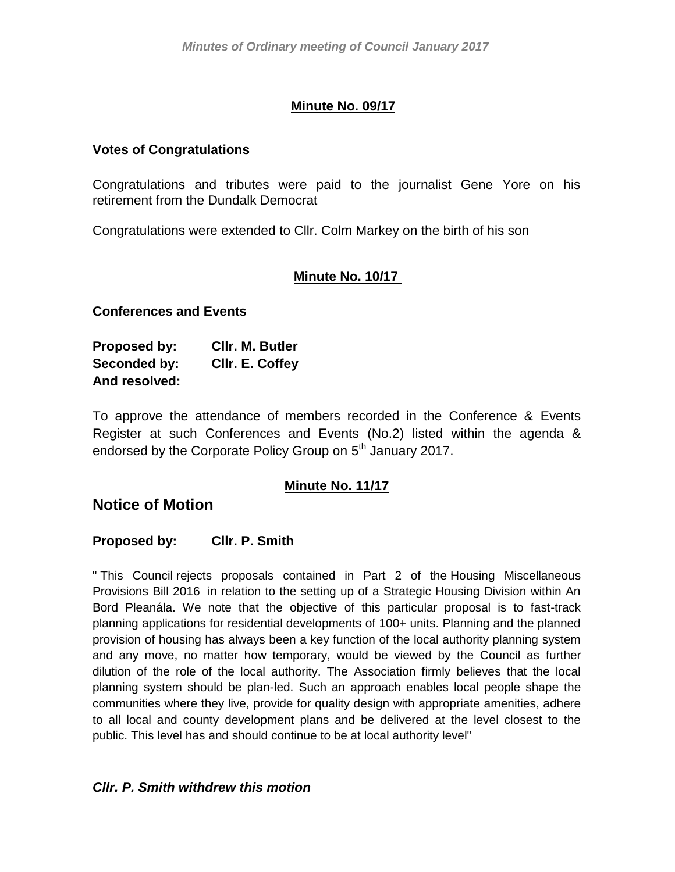# **Minute No. 09/17**

### **Votes of Congratulations**

Congratulations and tributes were paid to the journalist Gene Yore on his retirement from the Dundalk Democrat

Congratulations were extended to Cllr. Colm Markey on the birth of his son

## **Minute No. 10/17**

#### **Conferences and Events**

| Proposed by:  | CIIr. M. Butler |
|---------------|-----------------|
| Seconded by:  | Cllr. E. Coffey |
| And resolved: |                 |

To approve the attendance of members recorded in the Conference & Events Register at such Conferences and Events (No.2) listed within the agenda & endorsed by the Corporate Policy Group on 5<sup>th</sup> January 2017.

### **Minute No. 11/17**

# **Notice of Motion**

#### **Proposed by: Cllr. P. Smith**

" This Council rejects proposals contained in Part 2 of the Housing Miscellaneous Provisions Bill 2016 in relation to the setting up of a Strategic Housing Division within An Bord Pleanála. We note that the objective of this particular proposal is to fast-track planning applications for residential developments of 100+ units. Planning and the planned provision of housing has always been a key function of the local authority planning system and any move, no matter how temporary, would be viewed by the Council as further dilution of the role of the local authority. The Association firmly believes that the local planning system should be plan-led. Such an approach enables local people shape the communities where they live, provide for quality design with appropriate amenities, adhere to all local and county development plans and be delivered at the level closest to the public. This level has and should continue to be at local authority level"

### *Cllr. P. Smith withdrew this motion*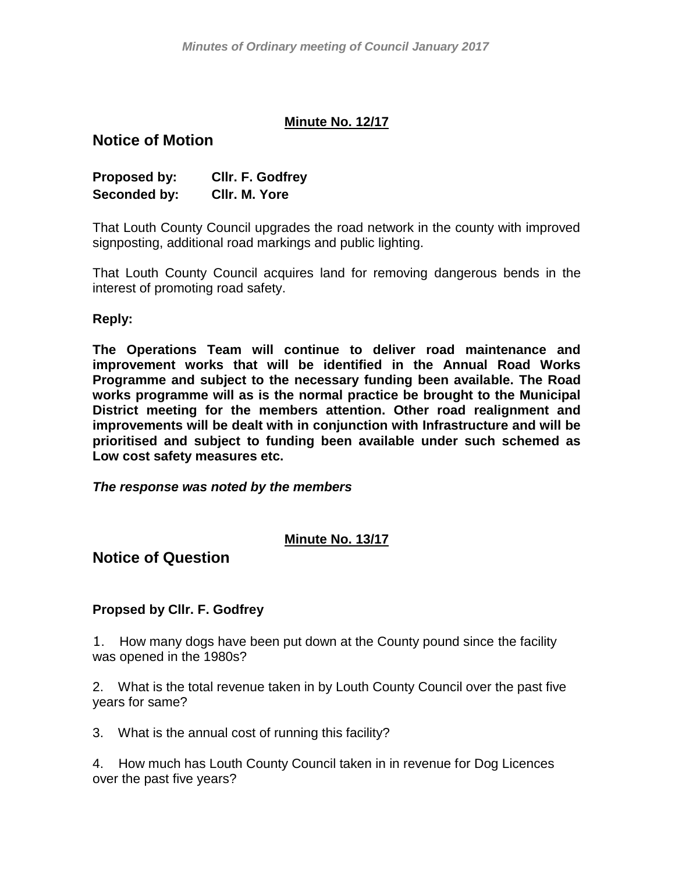### **Minute No. 12/17**

# **Notice of Motion**

| Proposed by: | Cllr. F. Godfrey |
|--------------|------------------|
| Seconded by: | CIIr. M. Yore    |

That Louth County Council upgrades the road network in the county with improved signposting, additional road markings and public lighting.

That Louth County Council acquires land for removing dangerous bends in the interest of promoting road safety.

#### **Reply:**

**The Operations Team will continue to deliver road maintenance and improvement works that will be identified in the Annual Road Works Programme and subject to the necessary funding been available. The Road works programme will as is the normal practice be brought to the Municipal District meeting for the members attention. Other road realignment and improvements will be dealt with in conjunction with Infrastructure and will be prioritised and subject to funding been available under such schemed as Low cost safety measures etc.**

*The response was noted by the members*

### **Minute No. 13/17**

**Notice of Question**

### **Propsed by Cllr. F. Godfrey**

1. How many dogs have been put down at the County pound since the facility was opened in the 1980s?

2. What is the total revenue taken in by Louth County Council over the past five years for same?

3. What is the annual cost of running this facility?

4. How much has Louth County Council taken in in revenue for Dog Licences over the past five years?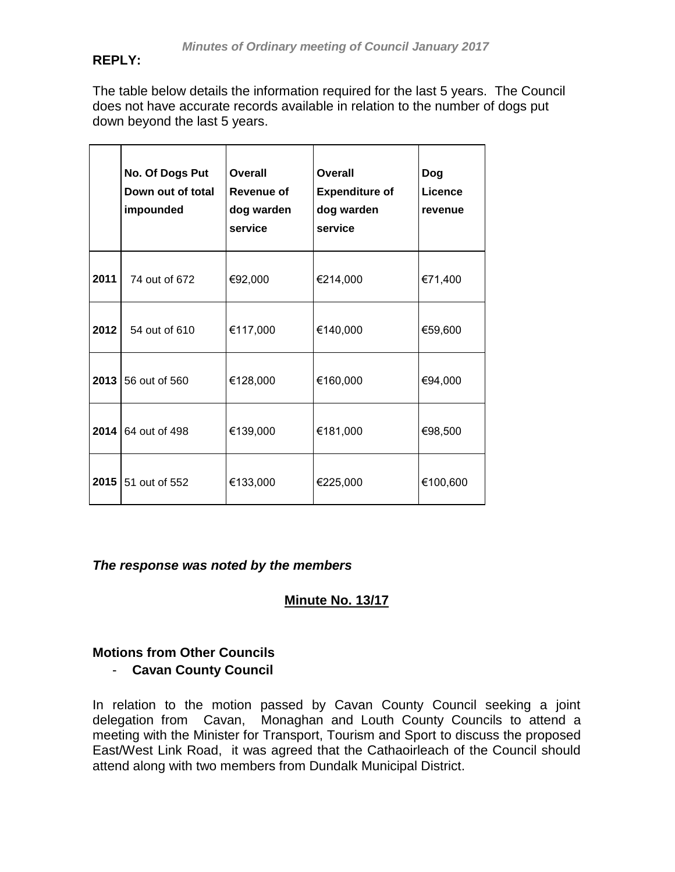## **REPLY:**

The table below details the information required for the last 5 years. The Council does not have accurate records available in relation to the number of dogs put down beyond the last 5 years.

|      | No. Of Dogs Put<br>Down out of total<br>impounded | Overall<br>Revenue of<br>dog warden<br>service | Overall<br><b>Expenditure of</b><br>dog warden<br>service | Dog<br>Licence<br>revenue |
|------|---------------------------------------------------|------------------------------------------------|-----------------------------------------------------------|---------------------------|
| 2011 | 74 out of 672                                     | €92,000                                        | €214,000                                                  | €71,400                   |
| 2012 | 54 out of 610                                     | €117,000                                       | €140,000                                                  | €59,600                   |
| 2013 | 56 out of 560                                     | €128,000                                       | €160,000                                                  | €94,000                   |
| 2014 | 64 out of 498                                     | €139,000                                       | €181,000                                                  | €98,500                   |
|      | 2015 51 out of 552                                | €133,000                                       | €225,000                                                  | €100,600                  |

*The response was noted by the members*

**Minute No. 13/17**

# **Motions from Other Councils** - **Cavan County Council**

In relation to the motion passed by Cavan County Council seeking a joint delegation from Cavan, Monaghan and Louth County Councils to attend a meeting with the Minister for Transport, Tourism and Sport to discuss the proposed East/West Link Road, it was agreed that the Cathaoirleach of the Council should attend along with two members from Dundalk Municipal District.